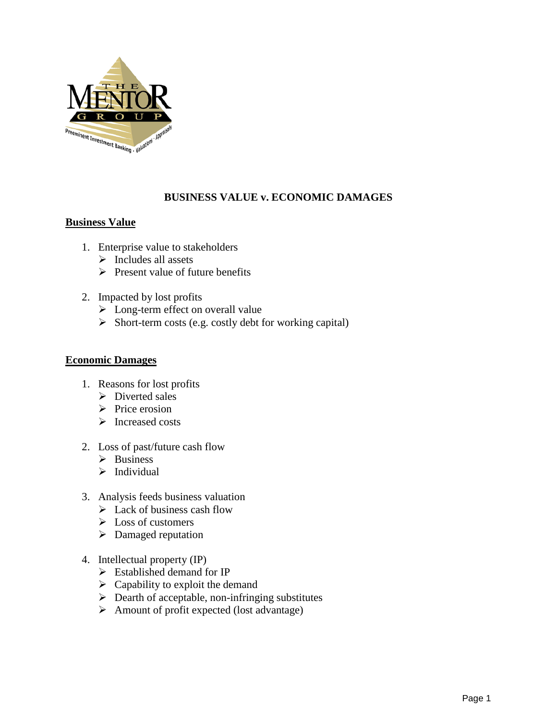

## **BUSINESS VALUE v. ECONOMIC DAMAGES**

## **Business Value**

- 1. Enterprise value to stakeholders
	- $\triangleright$  Includes all assets
	- $\triangleright$  Present value of future benefits
- 2. Impacted by lost profits
	- $\triangleright$  Long-term effect on overall value
	- $\triangleright$  Short-term costs (e.g. costly debt for working capital)

## **Economic Damages**

- 1. Reasons for lost profits
	- $\triangleright$  Diverted sales
	- $\triangleright$  Price erosion
	- > Increased costs
- 2. Loss of past/future cash flow
	- $\triangleright$  Business
	- $\triangleright$  Individual
- 3. Analysis feeds business valuation
	- $\triangleright$  Lack of business cash flow
	- $\triangleright$  Loss of customers
	- $\triangleright$  Damaged reputation
- 4. Intellectual property (IP)
	- $\triangleright$  Established demand for IP
	- $\triangleright$  Capability to exploit the demand
	- $\triangleright$  Dearth of acceptable, non-infringing substitutes
	- $\triangleright$  Amount of profit expected (lost advantage)